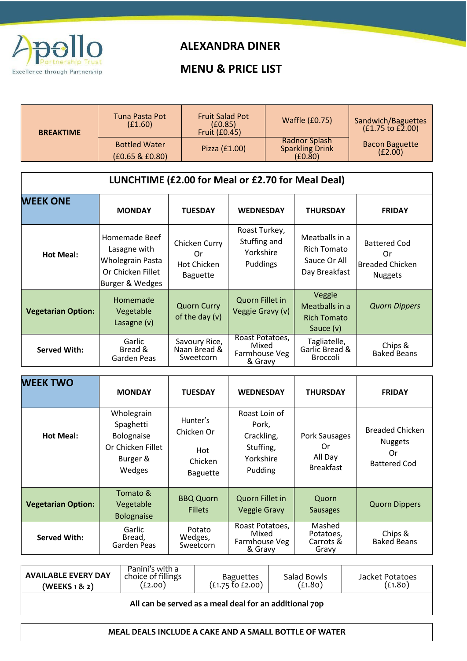

## **ALEXANDRA DINER**

## **MENU & PRICE LIST**

| <b>BREAKTIME</b> | Tuna Pasta Pot<br>(E1.60)               | <b>Fruit Salad Pot</b><br>(E0.85)<br>Fruit (£0.45) | <b>Waffle (£0.75)</b>                              | Sandwich/Baguettes<br>(£1.75 to £2.00) |  |  |
|------------------|-----------------------------------------|----------------------------------------------------|----------------------------------------------------|----------------------------------------|--|--|
|                  | <b>Bottled Water</b><br>(£0.65 & £0.80) | Pizza (£1.00)                                      | Radnor Splash<br><b>Sparkling Drink</b><br>(E0.80) | <b>Bacon Baguette</b><br>(E2.00)       |  |  |
| . .<br>          |                                         |                                                    |                                                    |                                        |  |  |

| LUNCHTIME (£2.00 for Meal or £2.70 for Meal Deal) |  |
|---------------------------------------------------|--|
|---------------------------------------------------|--|

| <b>WEEK ONE</b>           | <b>MONDAY</b>                                                                             | <b>TUESDAY</b>                                        | <b>WEDNESDAY</b>                                       | <b>THURSDAY</b>                                                | <b>FRIDAY</b>                                                         |
|---------------------------|-------------------------------------------------------------------------------------------|-------------------------------------------------------|--------------------------------------------------------|----------------------------------------------------------------|-----------------------------------------------------------------------|
| Hot Meal:                 | Homemade Beef<br>Lasagne with<br>Wholegrain Pasta<br>Or Chicken Fillet<br>Burger & Wedges | Chicken Curry<br>0r<br>Hot Chicken<br><b>Baguette</b> | Roast Turkey,<br>Stuffing and<br>Yorkshire<br>Puddings | Meatballs in a<br>Rich Tomato<br>Sauce Or All<br>Day Breakfast | <b>Battered Cod</b><br>0r<br><b>Breaded Chicken</b><br><b>Nuggets</b> |
| <b>Vegetarian Option:</b> | Homemade<br>Vegetable<br>Lasagne $(v)$                                                    | <b>Quorn Curry</b><br>of the day $(v)$                | Quorn Fillet in<br>Veggie Gravy (v)                    | Veggie<br>Meatballs in a<br><b>Rich Tomato</b><br>Sauce (v)    | <b>Quorn Dippers</b>                                                  |
| <b>Served With:</b>       | Garlic<br>Bread &<br>Garden Peas                                                          | Savoury Rice,<br>Naan Bread &<br>Sweetcorn            | Roast Potatoes,<br>Mixed<br>Farmhouse Veg<br>& Gravy   | Tagliatelle,<br>Garlic Bread &<br><b>Broccoli</b>              | Chips &<br><b>Baked Beans</b>                                         |

| <b>WEEK TWO</b>           | <b>MONDAY</b>                                                                    | <b>TUESDAY</b>                                              | <b>WEDNESDAY</b>                                                          | <b>THURSDAY</b>                                    | <b>FRIDAY</b>                                                         |
|---------------------------|----------------------------------------------------------------------------------|-------------------------------------------------------------|---------------------------------------------------------------------------|----------------------------------------------------|-----------------------------------------------------------------------|
| <b>Hot Meal:</b>          | Wholegrain<br>Spaghetti<br>Bolognaise<br>Or Chicken Fillet<br>Burger &<br>Wedges | Hunter's<br>Chicken Or<br>Hot<br>Chicken<br><b>Baguette</b> | Roast Loin of<br>Pork,<br>Crackling,<br>Stuffing,<br>Yorkshire<br>Pudding | Pork Sausages<br>Or<br>All Day<br><b>Breakfast</b> | <b>Breaded Chicken</b><br><b>Nuggets</b><br>Or<br><b>Battered Cod</b> |
| <b>Vegetarian Option:</b> | Tomato &<br>Vegetable<br><b>Bolognaise</b>                                       | <b>BBQ Quorn</b><br><b>Fillets</b>                          | Quorn Fillet in<br><b>Veggie Gravy</b>                                    | Quorn<br><b>Sausages</b>                           | <b>Quorn Dippers</b>                                                  |
| <b>Served With:</b>       | Garlic<br>Bread,<br>Garden Peas                                                  | Potato<br>Wedges,<br>Sweetcorn                              | Roast Potatoes,<br>Mixed<br>Farmhouse Veg<br>& Gravy                      | Mashed<br>Potatoes,<br>Carrots &<br>Gravy          | Chips &<br><b>Baked Beans</b>                                         |

| <b>AVAILABLE EVERY DAY</b><br>(WE K S 1 8 2)           | Panini's with a<br>choice of fillings<br>(£2.00) | Baguettes<br>$(£1.75 \text{ to } £2.00)$ | Salad Bowls<br>(£1.80) | Jacket Potatoes<br>(£1.80) |  |  |  |
|--------------------------------------------------------|--------------------------------------------------|------------------------------------------|------------------------|----------------------------|--|--|--|
| All can be served as a meal deal for an additional 70p |                                                  |                                          |                        |                            |  |  |  |

**MEAL DEALS INCLUDE A CAKE AND A SMALL BOTTLE OF WATER**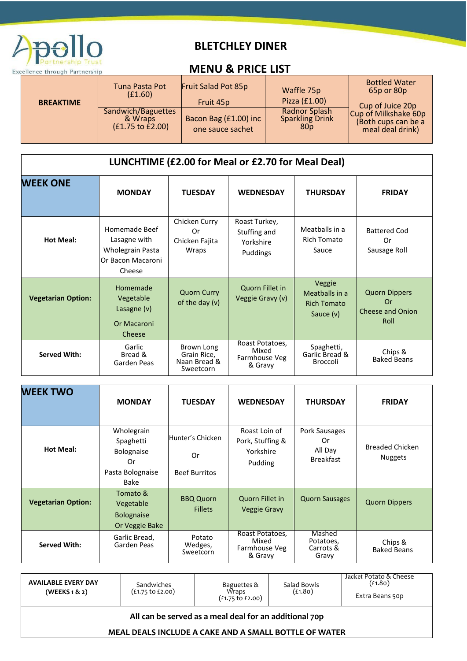

## **BLETCHLEY DINER**

## **Excellence through Partnership Contact Contact Contact Contact Contact Contact Contact Contact Contact Contact Contact Contact Contact Contact Contact Contact Contact Contact Contact Contact Contact Contact Contact Contac**

|                  | Tuna Pasta Pot<br>(E1.60)                                    | Fruit Salad Pot 85p                       | Waffle 75p                                                 | <b>Bottled Water</b><br>65p or 80p                              |
|------------------|--------------------------------------------------------------|-------------------------------------------|------------------------------------------------------------|-----------------------------------------------------------------|
| <b>BREAKTIME</b> |                                                              | Fruit 45p                                 | Pizza (£1.00)                                              | Cup of Juice 20p                                                |
|                  | Sandwich/Baguettes<br>& Wraps<br>$(f1.75 \text{ to } f2.00)$ | Bacon Bag (£1.00) inc<br>one sauce sachet | Radnor Splash<br><b>Sparkling Drink</b><br>80 <sub>p</sub> | Cup of Milkshake 60p<br>(Both cups can be a<br>meal deal drink) |

| LUNCHTIME (£2.00 for Meal or £2.70 for Meal Deal) |                                                                                  |                                                        |                                                        |                                                               |                                                               |  |  |
|---------------------------------------------------|----------------------------------------------------------------------------------|--------------------------------------------------------|--------------------------------------------------------|---------------------------------------------------------------|---------------------------------------------------------------|--|--|
| <b>WEEK ONE</b>                                   | <b>MONDAY</b>                                                                    | <b>TUESDAY</b>                                         | <b>WEDNESDAY</b>                                       | <b>THURSDAY</b>                                               | <b>FRIDAY</b>                                                 |  |  |
| <b>Hot Meal:</b>                                  | Homemade Beef<br>Lasagne with<br>Wholegrain Pasta<br>Or Bacon Macaroni<br>Cheese | Chicken Curry<br>0r<br>Chicken Fajita<br>Wraps         | Roast Turkey,<br>Stuffing and<br>Yorkshire<br>Puddings | Meatballs in a<br>Rich Tomato<br>Sauce                        | <b>Battered Cod</b><br>0r<br>Sausage Roll                     |  |  |
| <b>Vegetarian Option:</b>                         | Homemade<br>Vegetable<br>Lasagne $(v)$<br>Or Macaroni<br>Cheese                  | <b>Quorn Curry</b><br>of the day $(v)$                 | Quorn Fillet in<br>Veggie Gravy (v)                    | Veggie<br>Meatballs in a<br><b>Rich Tomato</b><br>Sauce $(v)$ | <b>Quorn Dippers</b><br>Or<br><b>Cheese and Onion</b><br>Roll |  |  |
| <b>Served With:</b>                               | Garlic<br>Bread &<br>Garden Peas                                                 | Brown Long<br>Grain Rice,<br>Naan Bread &<br>Sweetcorn | Roast Potatoes,<br>Mixed<br>Farmhouse Veg<br>& Gravy   | Spaghetti,<br>Garlic Bread &<br>Broccoli                      | Chips &<br><b>Baked Beans</b>                                 |  |  |

| <b>WEEK TWO</b>           | <b>MONDAY</b>                                                           | <b>TUESDAY</b>                                 | <b>WEDNESDAY</b>                                          | <b>THURSDAY</b>                                    | <b>FRIDAY</b>                            |
|---------------------------|-------------------------------------------------------------------------|------------------------------------------------|-----------------------------------------------------------|----------------------------------------------------|------------------------------------------|
| <b>Hot Meal:</b>          | Wholegrain<br>Spaghetti<br>Bolognaise<br>0r<br>Pasta Bolognaise<br>Bake | Hunter's Chicken<br>0r<br><b>Beef Burritos</b> | Roast Loin of<br>Pork, Stuffing &<br>Yorkshire<br>Pudding | Pork Sausages<br>0r<br>All Day<br><b>Breakfast</b> | <b>Breaded Chicken</b><br><b>Nuggets</b> |
| <b>Vegetarian Option:</b> | Tomato &<br>Vegetable<br><b>Bolognaise</b><br>Or Veggie Bake            | <b>BBQ Quorn</b><br><b>Fillets</b>             | Quorn Fillet in<br><b>Veggie Gravy</b>                    | <b>Quorn Sausages</b>                              | <b>Quorn Dippers</b>                     |
| <b>Served With:</b>       | Garlic Bread,<br>Garden Peas                                            | Potato<br>Wedges,<br>Sweetcorn                 | Roast Potatoes,<br>Mixed<br>Farmhouse Veg<br>& Gravy      | Mashed<br>Potatoes,<br>Carrots &<br>Gravy          | Chips &<br><b>Baked Beans</b>            |

| <b>AVAILABLE EVERY DAY</b><br>(WE K S 1 8 2)           | Sandwiches<br>$(f.1.75 \text{ to } f.2.00)$ | Baguettes &<br>Wraps<br>$(f1.75 \text{ to } f2.00)$ | Salad Bowls<br>(£1.80) | Jacket Potato & Cheese<br>(£1.80)<br>Extra Beans 50p |  |  |
|--------------------------------------------------------|---------------------------------------------|-----------------------------------------------------|------------------------|------------------------------------------------------|--|--|
| All can be served as a meal deal for an additional 70p |                                             |                                                     |                        |                                                      |  |  |

**MEAL DEALS INCLUDE A CAKE AND A SMALL BOTTLE OF WATER**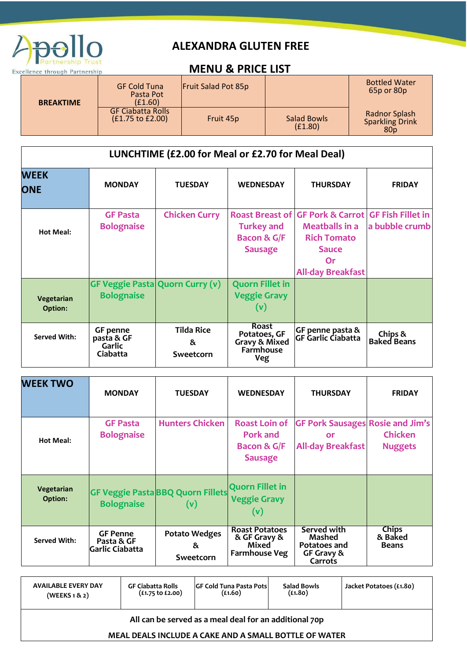

# **ALEXANDRA GLUTEN FREE**

# **Excellence through Partnership Control Control Control Partnership MENU & PRICE LIST**

| <b>BREAKTIME</b> | <b>GF Cold Tuna</b><br>Pasta Pot<br>(E1.60)  | <b>Fruit Salad Pot 85p</b> |                               | <b>Bottled Water</b><br>65p or 80p                                |
|------------------|----------------------------------------------|----------------------------|-------------------------------|-------------------------------------------------------------------|
|                  | <b>GF Ciabatta Rolls</b><br>(£1.75 to £2.00) | Fruit 45p                  | <b>Salad Bowls</b><br>(E1.80) | <b>Radnor Splash</b><br><b>Sparkling Drink</b><br>80 <sub>p</sub> |

| LUNCHTIME (£2.00 for Meal or £2.70 for Meal Deal) |                                                     |                                        |                                                                   |                                                                                                                                              |                                            |  |
|---------------------------------------------------|-----------------------------------------------------|----------------------------------------|-------------------------------------------------------------------|----------------------------------------------------------------------------------------------------------------------------------------------|--------------------------------------------|--|
| <b>WEEK</b><br><b>ONE</b>                         | <b>MONDAY</b>                                       | <b>TUESDAY</b>                         | <b>WEDNESDAY</b>                                                  | <b>THURSDAY</b>                                                                                                                              | <b>FRIDAY</b>                              |  |
| <b>Hot Meal:</b>                                  | <b>GF Pasta</b><br><b>Bolognaise</b>                | <b>Chicken Curry</b>                   | <b>Turkey and</b><br><b>Bacon &amp; G/F</b><br><b>Sausage</b>     | <b>Roast Breast of GF Pork &amp; Carrot</b><br><b>Meatballs in a</b><br><b>Rich Tomato</b><br><b>Sauce</b><br>0r<br><b>All-day Breakfast</b> | <b>GF Fish Fillet in</b><br>a bubble crumb |  |
| Vegetarian<br><b>Option:</b>                      | <b>Bolognaise</b>                                   | <b>GF Veggie Pasta Quorn Curry (v)</b> | <b>Quorn Fillet in</b><br><b>Veggie Gravy</b><br>(v)              |                                                                                                                                              |                                            |  |
| <b>Served With:</b>                               | <b>GF</b> penne<br>pasta & GF<br>Garlic<br>Ciabatta | <b>Tilda Rice</b><br>&<br>Sweetcorn    | <b>Roast</b><br>Potatoes, GF<br>Gravy & Mixed<br>Farmhouse<br>Veg | GF penne pasta &<br>GF Garlic Ciabatta                                                                                                       | Chips &<br><b>Baked Beans</b>              |  |

| <b>WEEK TWO</b>       | <b>MONDAY</b>                                     | <b>TUESDAY</b>                                  | <b>WEDNESDAY</b>                                                              | <b>THURSDAY</b>                                                           | <b>FRIDAY</b>                           |
|-----------------------|---------------------------------------------------|-------------------------------------------------|-------------------------------------------------------------------------------|---------------------------------------------------------------------------|-----------------------------------------|
| <b>Hot Meal:</b>      | <b>GF Pasta</b><br><b>Bolognaise</b>              | <b>Hunters Chicken</b>                          | <b>Roast Loin of</b><br><b>Pork and</b><br>Bacon & G/F<br><b>Sausage</b>      | <b>GF Pork Sausages Rosie and Jim's</b><br>or<br><b>All-day Breakfast</b> | <b>Chicken</b><br><b>Nuggets</b>        |
| Vegetarian<br>Option: | <b>Bolognaise</b>                                 | <b>GF Veggie Pasta BBQ Quorn Fillets</b><br>(v) | <b>Quorn Fillet in</b><br><b>Veggie Gravy</b><br>(v)                          |                                                                           |                                         |
| <b>Served With:</b>   | <b>GF Penne</b><br>Pasta & GF<br> Garlic Ciabatta | <b>Potato Wedges</b><br>&<br>Sweetcorn          | <b>Roast Potatoes</b><br>& GF Gravy &<br><b>Mixed</b><br><b>Farmhouse Veg</b> | Served with<br>Mashed<br>Potatoes and<br>GF Gravy &<br>Carrots            | <b>Chips</b><br>& Baked<br><b>Beans</b> |

| <b>AVAILABLE EVERY DAY</b>                                                                                      | <b>GF Ciabatta Rolls</b>    | <b>IGF Cold Tuna Pasta Pots</b> | <b>Salad Bowls</b> | Jacket Potatoes (£1.80) |  |
|-----------------------------------------------------------------------------------------------------------------|-----------------------------|---------------------------------|--------------------|-------------------------|--|
| (WEEKS1& 2)                                                                                                     | $(f1.75 \text{ to } f2.00)$ | (L1.60)                         | (f1.80)            |                         |  |
| All can be served as a meal deal for an additional 70p<br>MEAL DEALS INCLUDE A CAKE AND A SMALL BOTTLE OF WATER |                             |                                 |                    |                         |  |